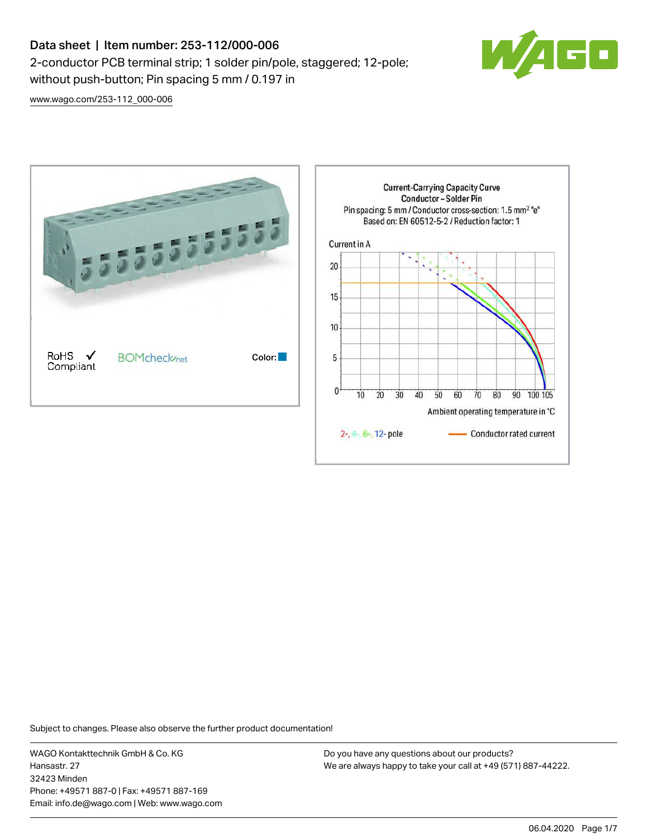## Data sheet | Item number: 253-112/000-006 2-conductor PCB terminal strip; 1 solder pin/pole, staggered; 12-pole; without push-button; Pin spacing 5 mm / 0.197 in



[www.wago.com/253-112\\_000-006](http://www.wago.com/253-112_000-006)



Subject to changes. Please also observe the further product documentation!

WAGO Kontakttechnik GmbH & Co. KG Hansastr. 27 32423 Minden Phone: +49571 887-0 | Fax: +49571 887-169 Email: info.de@wago.com | Web: www.wago.com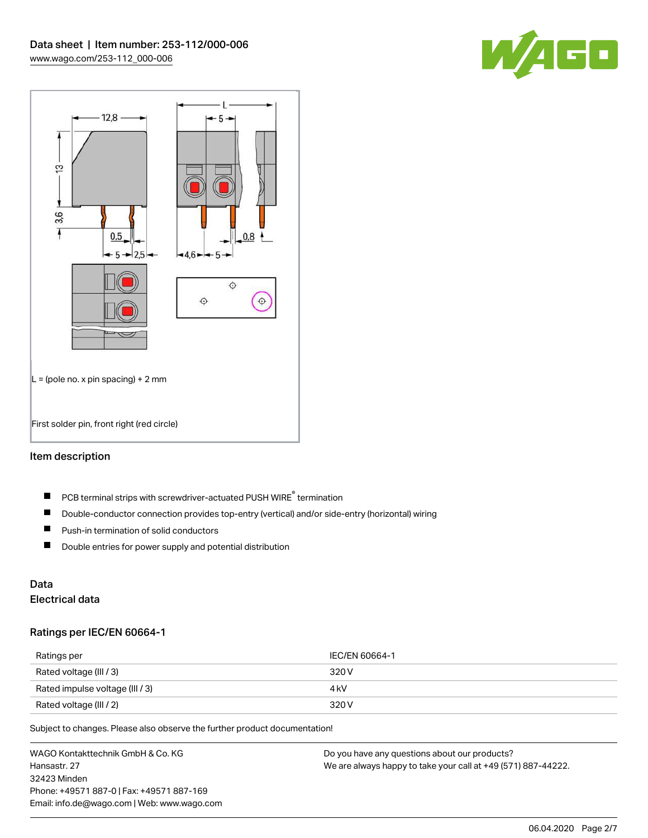



#### Item description

- PCB terminal strips with screwdriver-actuated PUSH WIRE® termination  $\blacksquare$
- $\blacksquare$ Double-conductor connection provides top-entry (vertical) and/or side-entry (horizontal) wiring
- $\blacksquare$ Push-in termination of solid conductors
- $\blacksquare$ Double entries for power supply and potential distribution

# Data

## Electrical data

#### Ratings per IEC/EN 60664-1

| Ratings per                     | IEC/EN 60664-1 |
|---------------------------------|----------------|
| Rated voltage (III / 3)         | 320 V          |
| Rated impulse voltage (III / 3) | 4 kV           |
| Rated voltage (III / 2)         | 320 V          |

Subject to changes. Please also observe the further product documentation!

WAGO Kontakttechnik GmbH & Co. KG Hansastr. 27 32423 Minden Phone: +49571 887-0 | Fax: +49571 887-169 Email: info.de@wago.com | Web: www.wago.com Do you have any questions about our products? We are always happy to take your call at +49 (571) 887-44222.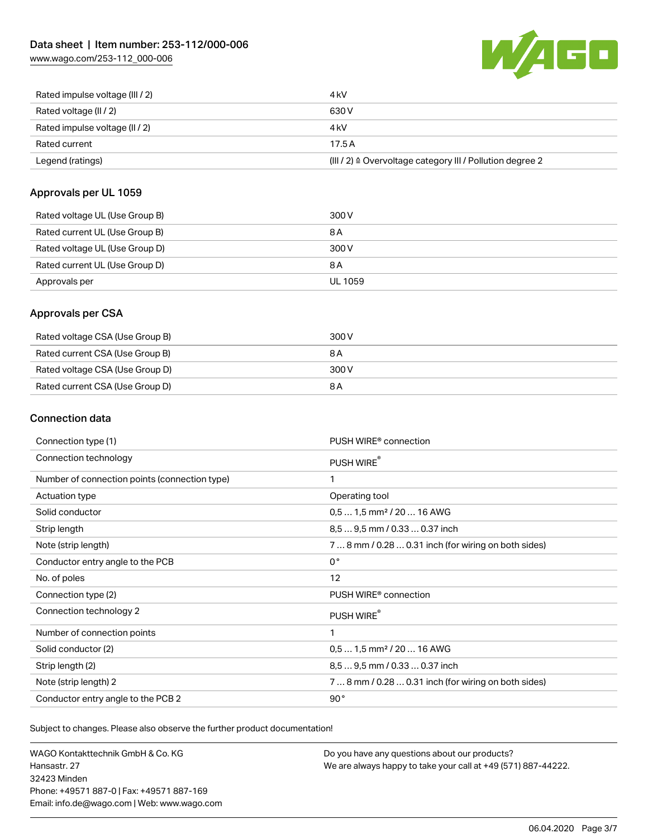[www.wago.com/253-112\\_000-006](http://www.wago.com/253-112_000-006)



| Rated impulse voltage (III / 2) | 4 kV                                                      |
|---------------------------------|-----------------------------------------------------------|
| Rated voltage (II / 2)          | 630 V                                                     |
| Rated impulse voltage (II / 2)  | 4 kV                                                      |
| Rated current                   | 17.5A                                                     |
| Legend (ratings)                | (III / 2) ≙ Overvoltage category III / Pollution degree 2 |

#### Approvals per UL 1059

| Rated voltage UL (Use Group B) | 300 V          |
|--------------------------------|----------------|
| Rated current UL (Use Group B) | 8 A            |
| Rated voltage UL (Use Group D) | 300 V          |
| Rated current UL (Use Group D) | 8 A            |
| Approvals per                  | <b>UL 1059</b> |

#### Approvals per CSA

| Rated voltage CSA (Use Group B) | 300 V |
|---------------------------------|-------|
| Rated current CSA (Use Group B) | 8 A   |
| Rated voltage CSA (Use Group D) | 300 V |
| Rated current CSA (Use Group D) | 8 A   |

#### Connection data

| Connection type (1)                           | PUSH WIRE <sup>®</sup> connection                    |
|-----------------------------------------------|------------------------------------------------------|
| Connection technology                         | PUSH WIRE®                                           |
| Number of connection points (connection type) | 1                                                    |
| Actuation type                                | Operating tool                                       |
| Solid conductor                               | $0.51.5$ mm <sup>2</sup> / 20  16 AWG                |
| Strip length                                  | 8,5  9,5 mm / 0.33  0.37 inch                        |
| Note (strip length)                           | 7  8 mm / 0.28  0.31 inch (for wiring on both sides) |
| Conductor entry angle to the PCB              | $0^{\circ}$                                          |
| No. of poles                                  | 12                                                   |
| Connection type (2)                           | PUSH WIRE <sup>®</sup> connection                    |
| Connection technology 2                       | PUSH WIRE®                                           |
| Number of connection points                   | 1                                                    |
| Solid conductor (2)                           | $0.51.5$ mm <sup>2</sup> / 20  16 AWG                |
| Strip length (2)                              | 8.5  9.5 mm / 0.33  0.37 inch                        |
| Note (strip length) 2                         | 7  8 mm / 0.28  0.31 inch (for wiring on both sides) |
| Conductor entry angle to the PCB 2            | 90°                                                  |

Subject to changes. Please also observe the further product documentation!

WAGO Kontakttechnik GmbH & Co. KG Hansastr. 27 32423 Minden Phone: +49571 887-0 | Fax: +49571 887-169 Email: info.de@wago.com | Web: www.wago.com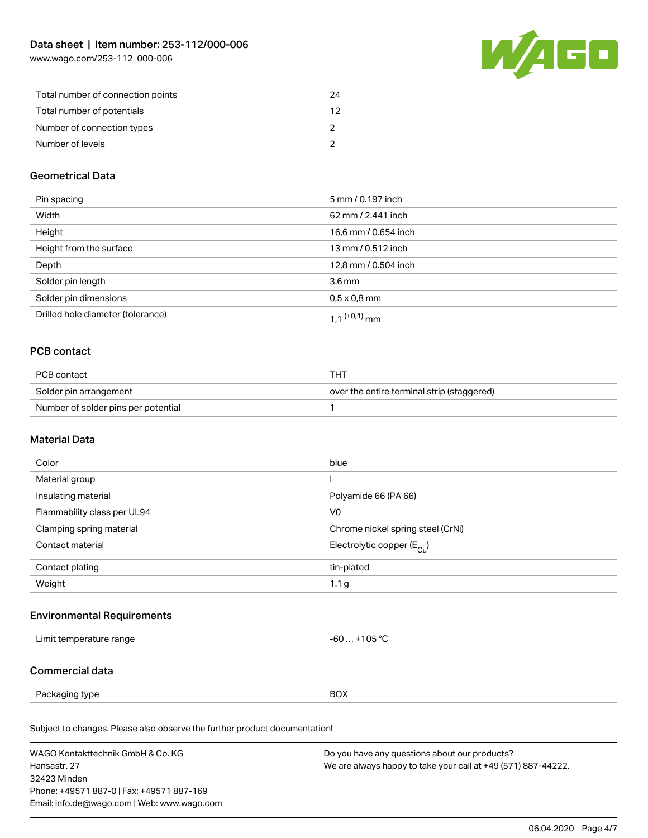[www.wago.com/253-112\\_000-006](http://www.wago.com/253-112_000-006)



| Total number of connection points | 24 |
|-----------------------------------|----|
| Total number of potentials        |    |
| Number of connection types        |    |
| Number of levels                  |    |

#### Geometrical Data

| Pin spacing                       | 5 mm / 0.197 inch          |
|-----------------------------------|----------------------------|
| Width                             | 62 mm / 2.441 inch         |
| Height                            | 16,6 mm / 0.654 inch       |
| Height from the surface           | 13 mm / 0.512 inch         |
| Depth                             | 12,8 mm / 0.504 inch       |
| Solder pin length                 | $3.6 \,\mathrm{mm}$        |
| Solder pin dimensions             | $0.5 \times 0.8$ mm        |
| Drilled hole diameter (tolerance) | $1.1$ <sup>(+0,1)</sup> mm |

### PCB contact

| PCB contact                         | THT                                        |
|-------------------------------------|--------------------------------------------|
| Solder pin arrangement              | over the entire terminal strip (staggered) |
| Number of solder pins per potential |                                            |

#### Material Data

| Color                       | blue                                  |
|-----------------------------|---------------------------------------|
| Material group              |                                       |
| Insulating material         | Polyamide 66 (PA 66)                  |
| Flammability class per UL94 | V <sub>0</sub>                        |
| Clamping spring material    | Chrome nickel spring steel (CrNi)     |
| Contact material            | Electrolytic copper $(E_{\text{Cl}})$ |
| Contact plating             | tin-plated                            |
| Weight                      | 1.1 <sub>g</sub>                      |

#### Environmental Requirements

| $\sum$<br>erature rande<br>emne<br>. | $\sim$ 0 $\sim$<br>IU. |
|--------------------------------------|------------------------|
|                                      |                        |

#### Commercial data

Packaging type BOX

Subject to changes. Please also observe the further product documentation!

| WAGO Kontakttechnik GmbH & Co. KG           | Do you have any questions about our products?                 |
|---------------------------------------------|---------------------------------------------------------------|
| Hansastr, 27                                | We are always happy to take your call at +49 (571) 887-44222. |
| 32423 Minden                                |                                                               |
| Phone: +49571 887-0   Fax: +49571 887-169   |                                                               |
| Email: info.de@wago.com   Web: www.wago.com |                                                               |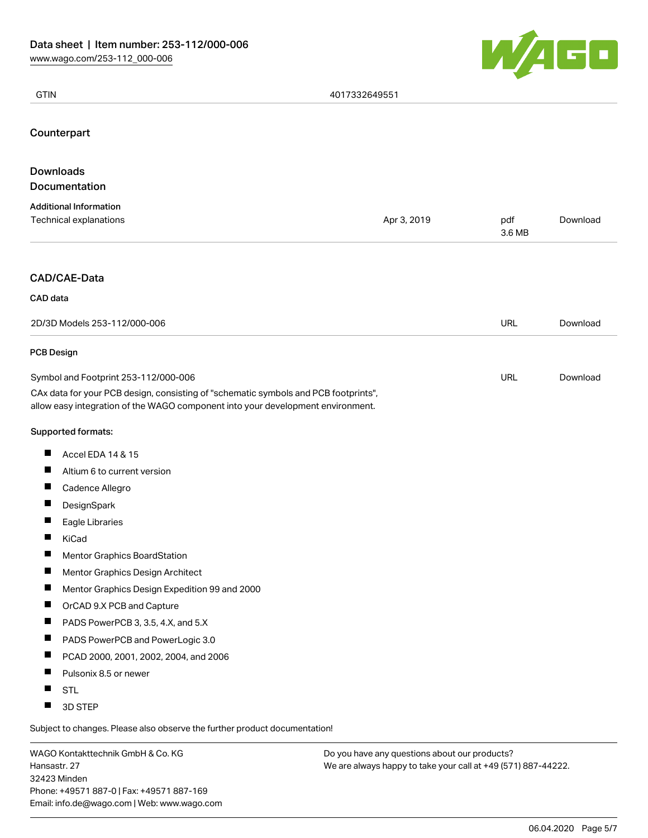

| <b>GTIN</b>                                                                                                                                                                                                    | 4017332649551 |               |          |
|----------------------------------------------------------------------------------------------------------------------------------------------------------------------------------------------------------------|---------------|---------------|----------|
| Counterpart                                                                                                                                                                                                    |               |               |          |
| <b>Downloads</b>                                                                                                                                                                                               |               |               |          |
| Documentation                                                                                                                                                                                                  |               |               |          |
| <b>Additional Information</b><br>Technical explanations                                                                                                                                                        | Apr 3, 2019   | pdf<br>3.6 MB | Download |
| CAD/CAE-Data                                                                                                                                                                                                   |               |               |          |
| CAD data                                                                                                                                                                                                       |               |               |          |
| 2D/3D Models 253-112/000-006                                                                                                                                                                                   |               | URL           | Download |
| <b>PCB Design</b>                                                                                                                                                                                              |               |               |          |
| Symbol and Footprint 253-112/000-006<br>CAx data for your PCB design, consisting of "schematic symbols and PCB footprints",<br>allow easy integration of the WAGO component into your development environment. |               | URL           | Download |
| Supported formats:                                                                                                                                                                                             |               |               |          |
| H<br>Accel EDA 14 & 15                                                                                                                                                                                         |               |               |          |
| ш<br>Altium 6 to current version                                                                                                                                                                               |               |               |          |
| П<br>Cadence Allegro                                                                                                                                                                                           |               |               |          |
| $\blacksquare$<br>DesignSpark                                                                                                                                                                                  |               |               |          |
| Ш<br>Eagle Libraries                                                                                                                                                                                           |               |               |          |
| H<br>KiCad                                                                                                                                                                                                     |               |               |          |
| Ш<br><b>Mentor Graphics BoardStation</b>                                                                                                                                                                       |               |               |          |
| П<br>Mentor Graphics Design Architect                                                                                                                                                                          |               |               |          |
| П<br>Mentor Graphics Design Expedition 99 and 2000                                                                                                                                                             |               |               |          |
| ш<br>OrCAD 9.X PCB and Capture                                                                                                                                                                                 |               |               |          |
| H<br>PADS PowerPCB 3, 3.5, 4.X, and 5.X                                                                                                                                                                        |               |               |          |
| ш<br>PADS PowerPCB and PowerLogic 3.0                                                                                                                                                                          |               |               |          |
| ш<br>PCAD 2000, 2001, 2002, 2004, and 2006                                                                                                                                                                     |               |               |          |
| Pulsonix 8.5 or newer<br>H                                                                                                                                                                                     |               |               |          |
| H<br><b>STL</b><br>ш<br>3D STEP                                                                                                                                                                                |               |               |          |
| Subject to changes. Please also observe the further product documentation!                                                                                                                                     |               |               |          |

WAGO Kontakttechnik GmbH & Co. KG Hansastr. 27 32423 Minden Phone: +49571 887-0 | Fax: +49571 887-169 Email: info.de@wago.com | Web: www.wago.com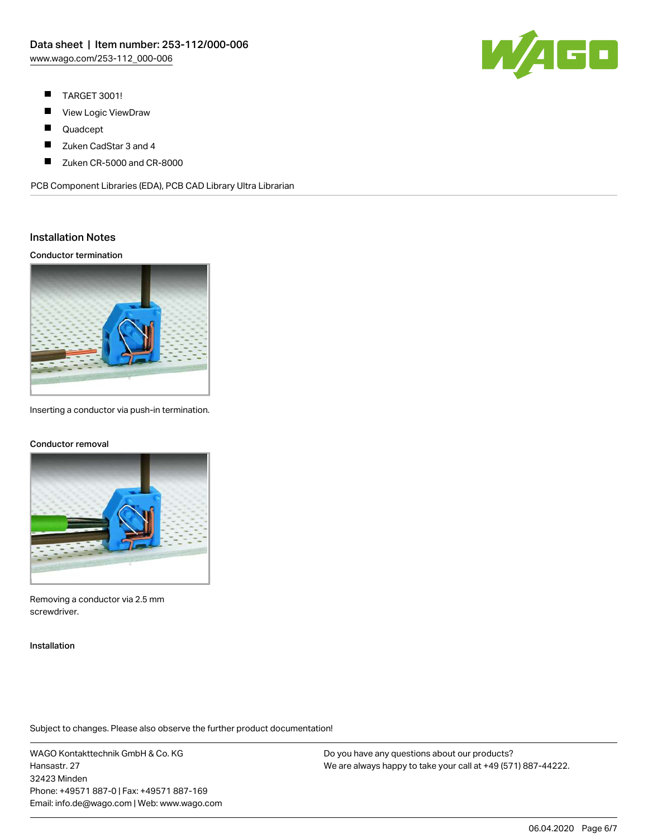

- $\blacksquare$ TARGET 3001!
- П View Logic ViewDraw
- $\blacksquare$ Quadcept
- П Zuken CadStar 3 and 4
- $\blacksquare$ Zuken CR-5000 and CR-8000

PCB Component Libraries (EDA), PCB CAD Library Ultra Librarian

#### Installation Notes

Conductor termination



Inserting a conductor via push-in termination.

#### Conductor removal



Removing a conductor via 2.5 mm screwdriver.

Installation

Subject to changes. Please also observe the further product documentation!

WAGO Kontakttechnik GmbH & Co. KG Hansastr. 27 32423 Minden Phone: +49571 887-0 | Fax: +49571 887-169 Email: info.de@wago.com | Web: www.wago.com